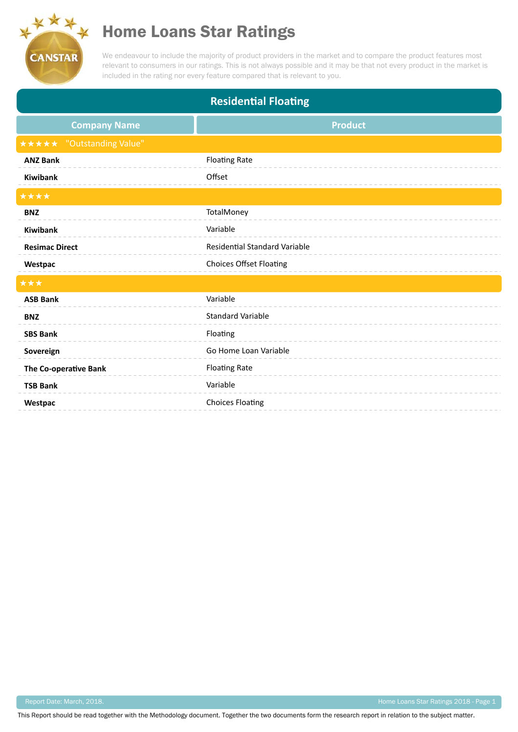

## Home Loans Star Ratings

We endeavour to include the majority of product providers in the market and to compare the product features most relevant to consumers in our ratings. This is not always possible and it may be that not every product in the market is included in the rating nor every feature compared that is relevant to you.

| <b>Residential Floating</b>      |                                      |
|----------------------------------|--------------------------------------|
| <b>Company Name</b>              | <b>Product</b>                       |
| <b>★★★★★</b> "Outstanding Value" |                                      |
| <b>ANZ Bank</b>                  | <b>Floating Rate</b>                 |
| <b>Kiwibank</b>                  | Offset                               |
| ****                             |                                      |
| <b>BNZ</b>                       | TotalMoney                           |
| Kiwibank                         | Variable                             |
| <b>Resimac Direct</b>            | <b>Residential Standard Variable</b> |
| Westpac                          | <b>Choices Offset Floating</b>       |
| ***                              |                                      |
| <b>ASB Bank</b>                  | Variable                             |
| <b>BNZ</b>                       | <b>Standard Variable</b>             |
| <b>SBS Bank</b>                  | Floating                             |
| Sovereign                        | Go Home Loan Variable                |
| The Co-operative Bank            | <b>Floating Rate</b>                 |
| <b>TSB Bank</b>                  | Variable                             |
| Westpac                          | <b>Choices Floating</b>              |